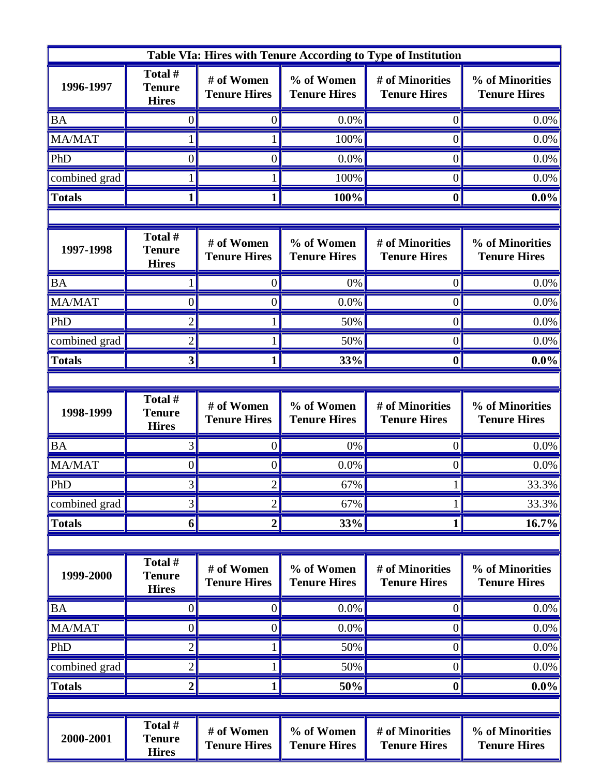| Table VIa: Hires with Tenure According to Type of Institution |                                          |                                   |                                   |                                        |                                        |  |  |  |
|---------------------------------------------------------------|------------------------------------------|-----------------------------------|-----------------------------------|----------------------------------------|----------------------------------------|--|--|--|
| 1996-1997                                                     | Total #<br><b>Tenure</b><br><b>Hires</b> | # of Women<br><b>Tenure Hires</b> | % of Women<br><b>Tenure Hires</b> | # of Minorities<br><b>Tenure Hires</b> | % of Minorities<br><b>Tenure Hires</b> |  |  |  |
| <b>BA</b>                                                     |                                          |                                   | 0.0%                              | $\theta$                               | 0.0%                                   |  |  |  |
| <b>MA/MAT</b>                                                 |                                          |                                   | 100%                              | $\overline{0}$                         | 0.0%                                   |  |  |  |
| PhD                                                           | 0                                        | 0                                 | 0.0%                              | $\overline{0}$                         | 0.0%                                   |  |  |  |
| combined grad                                                 |                                          |                                   | 100%                              | $\theta$                               | 0.0%                                   |  |  |  |
| <b>Totals</b>                                                 |                                          |                                   | 100%                              | $\boldsymbol{0}$                       | $0.0\%$                                |  |  |  |
|                                                               |                                          |                                   |                                   |                                        |                                        |  |  |  |
| 1997-1998                                                     | Total #<br><b>Tenure</b><br><b>Hires</b> | # of Women<br><b>Tenure Hires</b> | % of Women<br><b>Tenure Hires</b> | # of Minorities<br><b>Tenure Hires</b> | % of Minorities<br><b>Tenure Hires</b> |  |  |  |
| <b>BA</b>                                                     |                                          |                                   | 0%                                | $\theta$                               | 0.0%                                   |  |  |  |
| MA/MAT                                                        | 0                                        | 0                                 | 0.0%                              | $\overline{0}$                         | 0.0%                                   |  |  |  |
| PhD                                                           | 2                                        |                                   | 50%                               | $\theta$                               | 0.0%                                   |  |  |  |
| combined grad                                                 | 2                                        |                                   | 50%                               | $\theta$                               | 0.0%                                   |  |  |  |
| <b>Totals</b>                                                 | 3                                        |                                   | 33%                               | 0                                      | $0.0\%$                                |  |  |  |
|                                                               |                                          |                                   |                                   |                                        |                                        |  |  |  |
| 1998-1999                                                     | Total #<br><b>Tenure</b><br><b>Hires</b> | # of Women<br><b>Tenure Hires</b> | % of Women<br><b>Tenure Hires</b> | # of Minorities<br><b>Tenure Hires</b> | % of Minorities<br><b>Tenure Hires</b> |  |  |  |
| <b>BA</b>                                                     | 3                                        | 0                                 | 0%                                | $\theta$                               | 0.0%                                   |  |  |  |
| MA/MAT                                                        | 0                                        | 0                                 | 0.0%                              | $\theta$                               | 0.0%                                   |  |  |  |
| PhD                                                           |                                          |                                   | 67%                               |                                        | 33.3%                                  |  |  |  |
| combined grad                                                 | 3                                        | 2                                 | 67%                               |                                        | 33.3%                                  |  |  |  |
| <b>Totals</b>                                                 | 6                                        | 2                                 | 33%                               | 1                                      | 16.7%                                  |  |  |  |
|                                                               |                                          |                                   |                                   |                                        |                                        |  |  |  |
| 1999-2000                                                     | Total #<br><b>Tenure</b><br><b>Hires</b> | # of Women<br><b>Tenure Hires</b> | % of Women<br><b>Tenure Hires</b> | # of Minorities<br><b>Tenure Hires</b> | % of Minorities<br><b>Tenure Hires</b> |  |  |  |
| <b>BA</b>                                                     | $_{0}$                                   | 0                                 | 0.0%                              | $\theta$                               | 0.0%                                   |  |  |  |
| <b>MA/MAT</b>                                                 | $\boldsymbol{0}$                         | 0                                 | 0.0%                              | $\theta$                               | 0.0%                                   |  |  |  |
| PhD                                                           | $\overline{2}$                           |                                   | 50%                               | $\boldsymbol{0}$                       | $0.0\%$                                |  |  |  |
| combined grad                                                 | $\overline{2}$                           |                                   | 50%                               | $\boldsymbol{0}$                       | 0.0%                                   |  |  |  |
| <b>Totals</b>                                                 | 2                                        |                                   | 50%                               | $\boldsymbol{0}$                       | $0.0\%$                                |  |  |  |
|                                                               |                                          |                                   |                                   |                                        |                                        |  |  |  |
| 2000-2001                                                     | Total #<br><b>Tenure</b><br><b>Hires</b> | # of Women<br><b>Tenure Hires</b> | % of Women<br><b>Tenure Hires</b> | # of Minorities<br><b>Tenure Hires</b> | % of Minorities<br><b>Tenure Hires</b> |  |  |  |